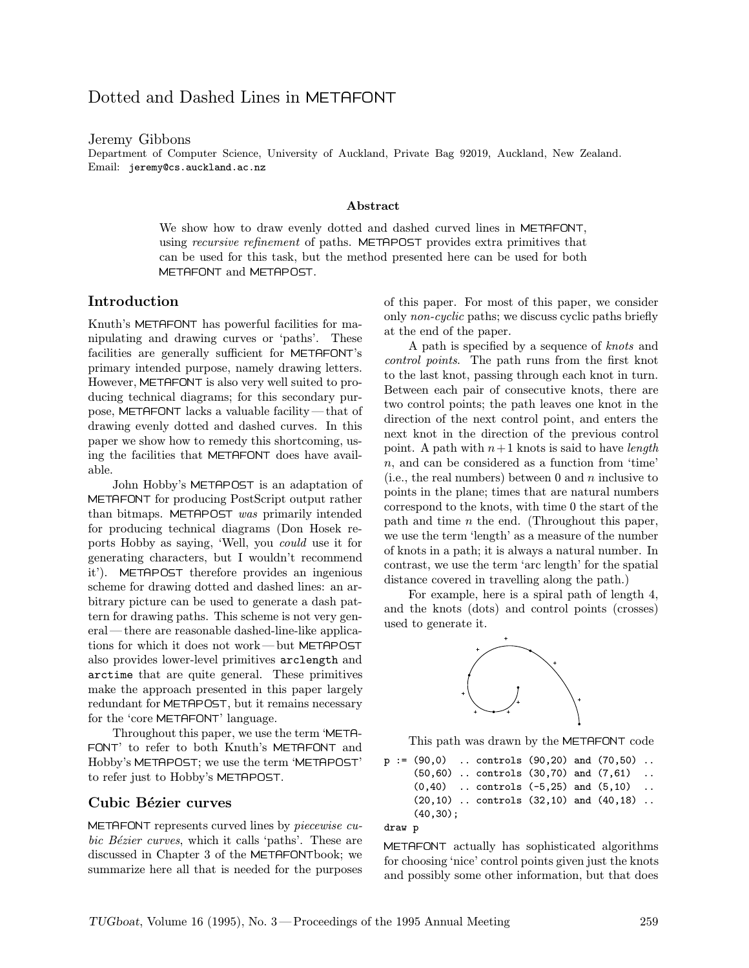# Dotted and Dashed Lines in METAFONT

Jeremy Gibbons

Department of Computer Science, University of Auckland, Private Bag 92019, Auckland, New Zealand. Email: jeremy@cs.auckland.ac.nz

#### Abstract

We show how to draw evenly dotted and dashed curved lines in METAFONT, using *recursive refinement* of paths. METAPOST provides extra primitives that can be used for this task, but the method presented here can be used for both METAFONT and METAPOST.

### Introduction

Knuth's METAFONT has powerful facilities for manipulating and drawing curves or 'paths'. These facilities are generally sufficient for METAFONT's primary intended purpose, namely drawing letters. However, METAFONT is also very well suited to producing technical diagrams; for this secondary purpose, METAFONT lacks a valuable facility—that of drawing evenly dotted and dashed curves. In this paper we show how to remedy this shortcoming, using the facilities that METAFONT does have available.

John Hobby's METAPOST is an adaptation of METAFONT for producing PostScript output rather than bitmaps. METAPOST was primarily intended for producing technical diagrams (Don Hosek reports Hobby as saying, 'Well, you could use it for generating characters, but I wouldn't recommend it'). METAPOST therefore provides an ingenious scheme for drawing dotted and dashed lines: an arbitrary picture can be used to generate a dash pattern for drawing paths. This scheme is not very general—there are reasonable dashed-line-like applications for which it does not work—but METAPOST also provides lower-level primitives arclength and arctime that are quite general. These primitives make the approach presented in this paper largely redundant for METAPOST, but it remains necessary for the 'core METAFONT' language.

Throughout this paper, we use the term 'META- FONT' to refer to both Knuth's METAFONT and Hobby's METAPOST; we use the term 'METAPOST' to refer just to Hobby's METAPOST.

#### Cubic Bézier curves

METAFONT represents curved lines by piecewise cubic Bézier curves, which it calls 'paths'. These are discussed in Chapter 3 of the METAFONTbook; we summarize here all that is needed for the purposes of this paper. For most of this paper, we consider only non-cyclic paths; we discuss cyclic paths briefly at the end of the paper.

A path is specified by a sequence of knots and control points. The path runs from the first knot to the last knot, passing through each knot in turn. Between each pair of consecutive knots, there are two control points; the path leaves one knot in the direction of the next control point, and enters the next knot in the direction of the previous control point. A path with  $n+1$  knots is said to have *length* n, and can be considered as a function from 'time' (i.e., the real numbers) between 0 and  $n$  inclusive to points in the plane; times that are natural numbers correspond to the knots, with time 0 the start of the path and time  $n$  the end. (Throughout this paper, we use the term 'length' as a measure of the number of knots in a path; it is always a natural number. In contrast, we use the term 'arc length' for the spatial distance covered in travelling along the path.)

For example, here is a spiral path of length 4, and the knots (dots) and control points (crosses) used to generate it.



This path was drawn by the METAFONT code

```
p := (90,0) .. controls (90,20) and (70,50) ..
     (50,60) .. controls (30,70) and (7,61) ..
     (0,40) .. controls (-5,25) and (5,10) ..
     (20,10) .. controls (32,10) and (40,18) ..
     (40,30);
```

```
draw p
```
METAFONT actually has sophisticated algorithms for choosing 'nice' control points given just the knots and possibly some other information, but that does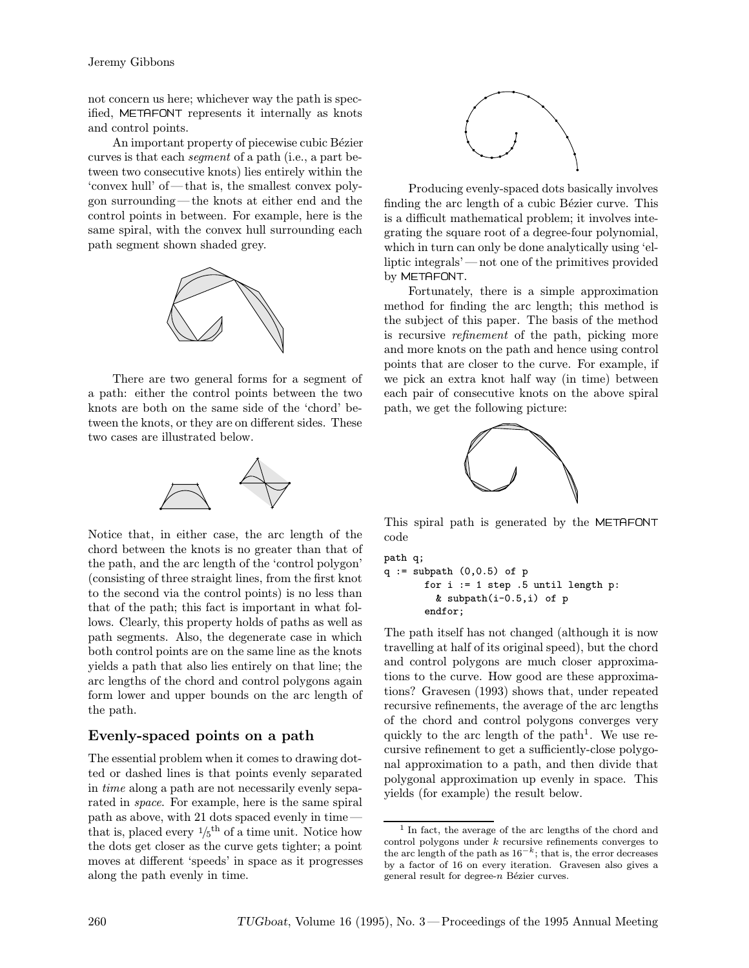not concern us here; whichever way the path is specified, METAFONT represents it internally as knots and control points.

An important property of piecewise cubic Bézier curves is that each segment of a path (i.e., a part between two consecutive knots) lies entirely within the 'convex hull' of—that is, the smallest convex polygon surrounding—the knots at either end and the control points in between. For example, here is the same spiral, with the convex hull surrounding each path segment shown shaded grey.



There are two general forms for a segment of a path: either the control points between the two knots are both on the same side of the 'chord' between the knots, or they are on different sides. These two cases are illustrated below.



Notice that, in either case, the arc length of the chord between the knots is no greater than that of the path, and the arc length of the 'control polygon' (consisting of three straight lines, from the first knot to the second via the control points) is no less than that of the path; this fact is important in what follows. Clearly, this property holds of paths as well as path segments. Also, the degenerate case in which both control points are on the same line as the knots yields a path that also lies entirely on that line; the arc lengths of the chord and control polygons again form lower and upper bounds on the arc length of the path.

# Evenly-spaced points on a path

The essential problem when it comes to drawing dotted or dashed lines is that points evenly separated in time along a path are not necessarily evenly separated in space. For example, here is the same spiral path as above, with 21 dots spaced evenly in time that is, placed every  $\frac{1}{5}$ <sup>th</sup> of a time unit. Notice how the dots get closer as the curve gets tighter; a point moves at different 'speeds' in space as it progresses along the path evenly in time.



Producing evenly-spaced dots basically involves finding the arc length of a cubic Bézier curve. This is a difficult mathematical problem; it involves integrating the square root of a degree-four polynomial, which in turn can only be done analytically using 'elliptic integrals'—not one of the primitives provided by METAFONT.

Fortunately, there is a simple approximation method for finding the arc length; this method is the subject of this paper. The basis of the method is recursive refinement of the path, picking more and more knots on the path and hence using control points that are closer to the curve. For example, if we pick an extra knot half way (in time) between each pair of consecutive knots on the above spiral path, we get the following picture:



This spiral path is generated by the METAFONT code

```
path q;
q := \text{subpath} (0,0.5) of pfor i := 1 step .5 until length p:
         & subpath(i-0.5,i) of p
       endfor;
```
The path itself has not changed (although it is now travelling at half of its original speed), but the chord and control polygons are much closer approximations to the curve. How good are these approximations? Gravesen (1993) shows that, under repeated recursive refinements, the average of the arc lengths of the chord and control polygons converges very quickly to the arc length of the path<sup>1</sup>. We use recursive refinement to get a sufficiently-close polygonal approximation to a path, and then divide that polygonal approximation up evenly in space. This yields (for example) the result below.

<sup>1</sup> In fact, the average of the arc lengths of the chord and control polygons under  $k$  recursive refinements converges to the arc length of the path as  $16^{-k}$ ; that is, the error decreases by a factor of 16 on every iteration. Gravesen also gives a general result for degree- $n$  Bézier curves.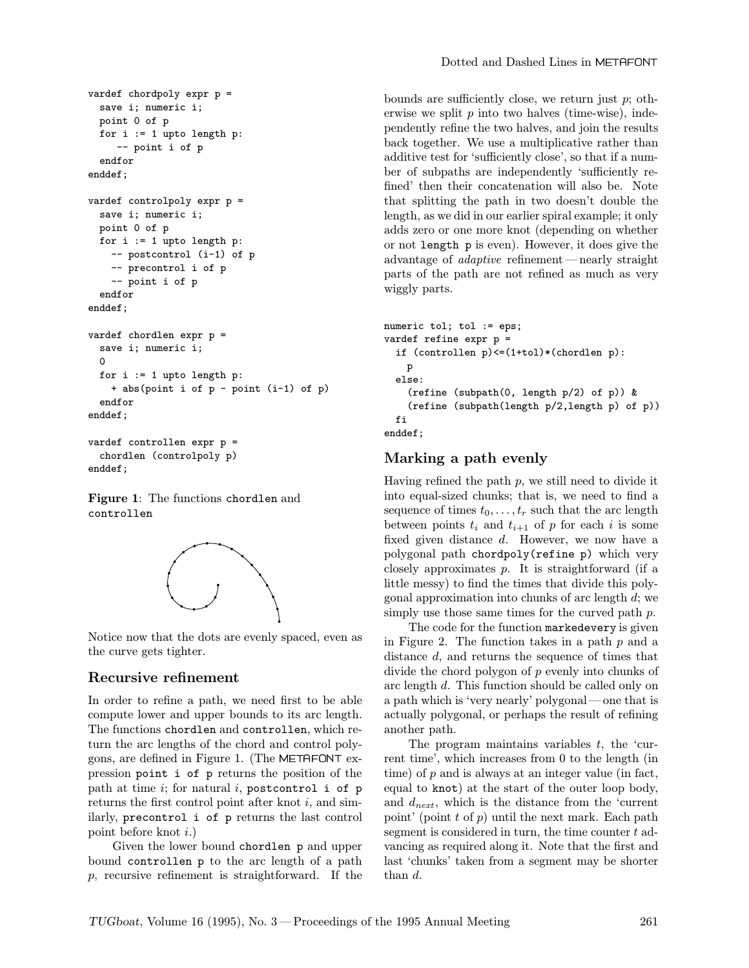```
vardef chordpoly expr p =
 save i; numeric i;
 point 0 of p
 for i := 1 upto length p:
     -- point i of p
  endfor
enddef;
vardef controlpoly expr p =
 save i; numeric i;
 point 0 of p
 for i := 1 upto length p:
    -- postcontrol (i-1) of p
    -- precontrol i of p
    -- point i of p
  endfor
enddef;
vardef chordlen expr p =
 save i; numeric i;
  0
 for i := 1 upto length p:
    + abs(point i of p - point (i-1) of p)
  endfor
enddef;
vardef controllen expr p =
```

```
chordlen (controlpoly p)
enddef;
```
Figure 1: The functions chordlen and controllen



Notice now that the dots are evenly spaced, even as the curve gets tighter.

### Recursive refinement

In order to refine a path, we need first to be able compute lower and upper bounds to its arc length. The functions chordlen and controllen, which return the arc lengths of the chord and control polygons, are defined in Figure 1. (The METAFONT expression point i of p returns the position of the path at time  $i$ ; for natural  $i$ , postcontrol i of p returns the first control point after knot  $i$ , and similarly, precontrol i of p returns the last control point before knot i.)

Given the lower bound chordlen p and upper bound controllen p to the arc length of a path p, recursive refinement is straightforward. If the

bounds are sufficiently close, we return just  $p$ ; otherwise we split  $p$  into two halves (time-wise), independently refine the two halves, and join the results back together. We use a multiplicative rather than additive test for 'sufficiently close', so that if a number of subpaths are independently 'sufficiently refined' then their concatenation will also be. Note that splitting the path in two doesn't double the length, as we did in our earlier spiral example; it only adds zero or one more knot (depending on whether or not length p is even). However, it does give the advantage of adaptive refinement—nearly straight parts of the path are not refined as much as very wiggly parts.

```
numeric tol; tol := eps;
vardef refine expr p =
  if (controllen p)<=(1+tol)*(chordlen p):
    p
  else:
    (refine (subpath(0, length p/2) of p)) &
    (refine (subpath(length p/2,length p) of p))
  fi
enddef;
```
# Marking a path evenly

Having refined the path  $p$ , we still need to divide it into equal-sized chunks; that is, we need to find a sequence of times  $t_0, \ldots, t_r$  such that the arc length between points  $t_i$  and  $t_{i+1}$  of p for each i is some fixed given distance d. However, we now have a polygonal path chordpoly(refine p) which very closely approximates p. It is straightforward (if a little messy) to find the times that divide this polygonal approximation into chunks of arc length  $d$ ; we simply use those same times for the curved path  $p$ .

The code for the function markedevery is given in Figure 2. The function takes in a path  $p$  and a distance d, and returns the sequence of times that divide the chord polygon of p evenly into chunks of arc length d. This function should be called only on a path which is 'very nearly' polygonal—one that is actually polygonal, or perhaps the result of refining another path.

The program maintains variables  $t$ , the 'current time', which increases from 0 to the length (in time) of  $p$  and is always at an integer value (in fact, equal to knot) at the start of the outer loop body, and  $d_{next}$ , which is the distance from the 'current point' (point  $t$  of  $p$ ) until the next mark. Each path segment is considered in turn, the time counter  $t$  advancing as required along it. Note that the first and last 'chunks' taken from a segment may be shorter than d.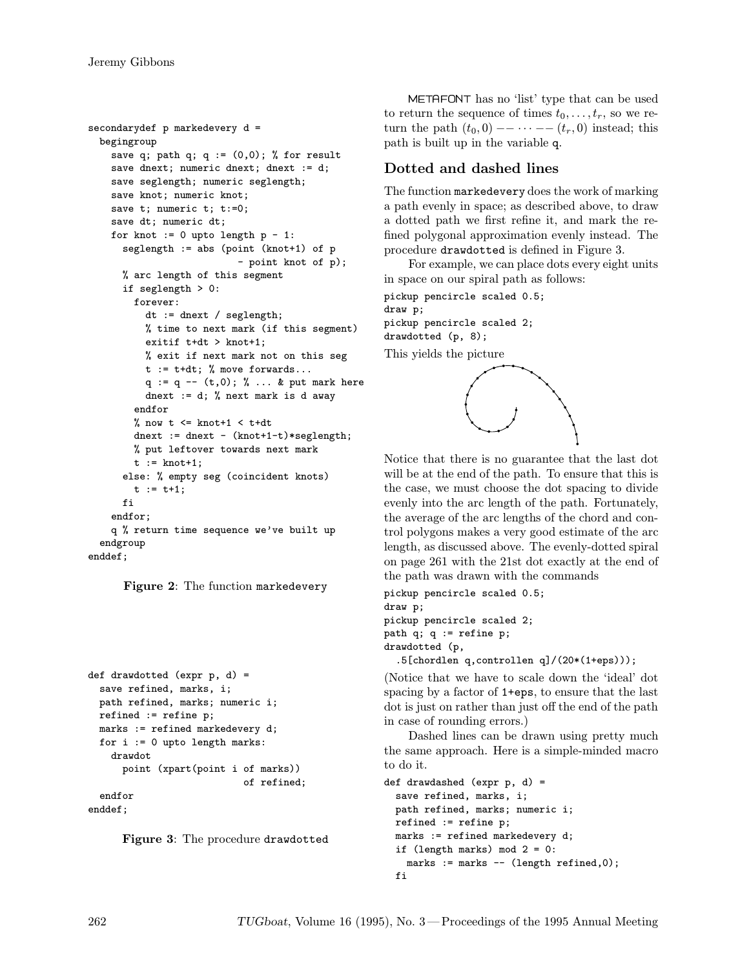```
secondarydef p markedevery d =
 begingroup
   save q; path q; q := (0,0); % for result
    save dnext; numeric dnext; dnext := d;
    save seglength; numeric seglength;
    save knot; numeric knot;
    save t; numeric t; t:=0;
    save dt; numeric dt;
    for knot := 0 upto length p - 1:
      seglength := abs (point (knot+1) of p
                           - point knot of p);
      % arc length of this segment
      if seglength > 0:
        forever:
          dt := dnext / seglength;
          % time to next mark (if this segment)
          exitif t+dt > knot+1;
          % exit if next mark not on this seg
          t := t+dt; % move forwards...
          q := q -- (t,0); % ... & put mark here
          dnext := d; % next mark is d away
        endfor
        % now t \leq knot+1 \leq t+dt
        dnext := dnext - (knot+1-t)*{seqlength};
        % put leftover towards next mark
        t := knot+1;
      else: % empty seg (coincident knots)
        t := t + 1;fi
    endfor;
   q % return time sequence we've built up
  endgroup
enddef;
```
Figure 2: The function markedevery

```
def drawdotted (expr p, d) =
 save refined, marks, i;
 path refined, marks; numeric i;
 refined := refine p;
 marks := refined markedevery d;
 for i := 0 upto length marks:
    drawdot
      point (xpart(point i of marks))
                           of refined;
  endfor
enddef;
```
Figure 3: The procedure drawdotted

METAFONT has no 'list' type that can be used to return the sequence of times  $t_0, \ldots, t_r$ , so we return the path  $(t_0, 0)$  -- · · · --  $(t_r, 0)$  instead; this path is built up in the variable q.

# Dotted and dashed lines

The function markedevery does the work of marking a path evenly in space; as described above, to draw a dotted path we first refine it, and mark the refined polygonal approximation evenly instead. The procedure drawdotted is defined in Figure 3.

For example, we can place dots every eight units in space on our spiral path as follows:

pickup pencircle scaled 0.5; draw p; pickup pencircle scaled 2; drawdotted (p, 8); This yields the picture



Notice that there is no guarantee that the last dot will be at the end of the path. To ensure that this is the case, we must choose the dot spacing to divide evenly into the arc length of the path. Fortunately, the average of the arc lengths of the chord and control polygons makes a very good estimate of the arc length, as discussed above. The evenly-dotted spiral on page 261 with the 21st dot exactly at the end of the path was drawn with the commands

```
pickup pencircle scaled 0.5;
draw p;
pickup pencircle scaled 2;
path q; q := refine p;
drawdotted (p,
  .5[chordlen q,controllen q]/(20*(1+eps)));
```
(Notice that we have to scale down the 'ideal' dot spacing by a factor of 1+eps, to ensure that the last dot is just on rather than just off the end of the path in case of rounding errors.)

Dashed lines can be drawn using pretty much the same approach. Here is a simple-minded macro to do it.

```
def drawdashed (expr p, d) =
  save refined, marks, i;
  path refined, marks; numeric i;
  refined := refine p;
  marks := refined markedevery d;
  if (length marks) mod 2 = 0:
   marks := marks -- (length refined, 0);
  fi
```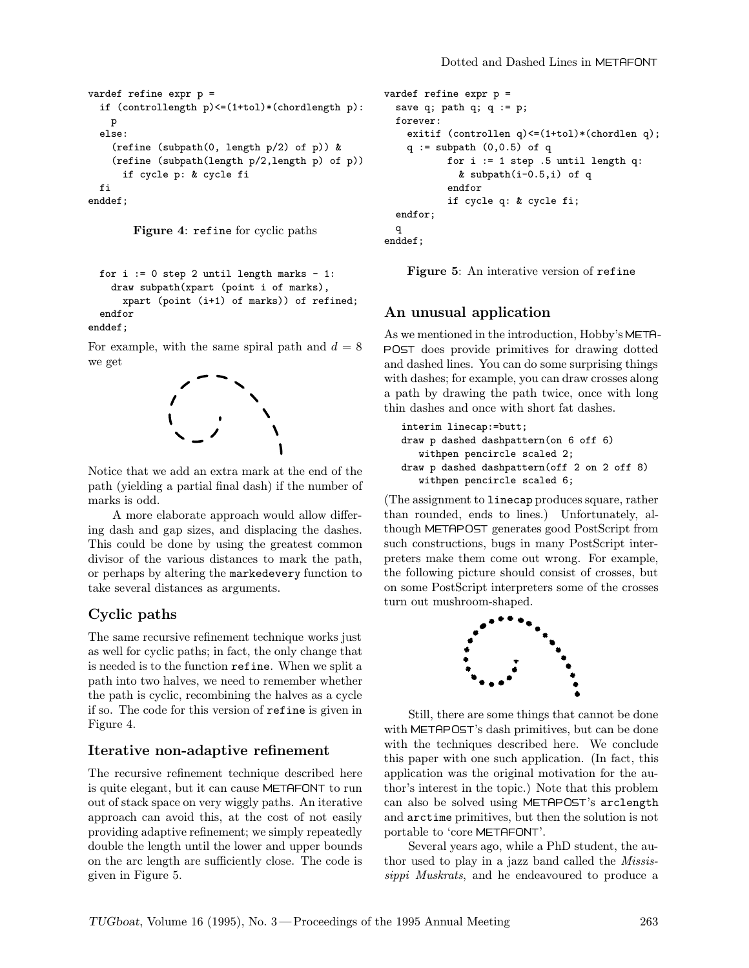```
vardef refine expr p =
  if (controllength p)<=(1+tol)*(chordlength p):
    p
  else:
    (refine (subpath(0, length p/2) of p)) &
    (refine (subpath(length p/2,length p) of p))
      if cycle p: & cycle fi
  fi
enddef;
```


```
for i := 0 step 2 until length marks - 1:
 draw subpath(xpart (point i of marks),
    xpart (point (i+1) of marks)) of refined;
endfor
```
enddef;

For example, with the same spiral path and  $d = 8$ we get



Notice that we add an extra mark at the end of the path (yielding a partial final dash) if the number of marks is odd.

A more elaborate approach would allow differing dash and gap sizes, and displacing the dashes. This could be done by using the greatest common divisor of the various distances to mark the path, or perhaps by altering the markedevery function to take several distances as arguments.

# Cyclic paths

The same recursive refinement technique works just as well for cyclic paths; in fact, the only change that is needed is to the function refine. When we split a path into two halves, we need to remember whether the path is cyclic, recombining the halves as a cycle if so. The code for this version of refine is given in Figure 4.

### Iterative non-adaptive refinement

The recursive refinement technique described here is quite elegant, but it can cause METAFONT to run out of stack space on very wiggly paths. An iterative approach can avoid this, at the cost of not easily providing adaptive refinement; we simply repeatedly double the length until the lower and upper bounds on the arc length are sufficiently close. The code is given in Figure 5.

```
vardef refine expr p =
 save q; path q; q := p;
 forever:
    exitif (controllen q)<=(1+tol)*(chordlen q);
    q := \text{subpath} (0,0.5) of q
           for i := 1 step .5 until length q:
             & subpath(i-0.5,i) of q
           endfor
           if cycle q: & cycle fi;
 endfor;
 q
enddef;
```
Figure 5: An interative version of refine

# An unusual application

As we mentioned in the introduction, Hobby's META- POST does provide primitives for drawing dotted and dashed lines. You can do some surprising things with dashes; for example, you can draw crosses along a path by drawing the path twice, once with long thin dashes and once with short fat dashes.

```
interim linecap:=butt;
draw p dashed dashpattern(on 6 off 6)
  withpen pencircle scaled 2;
draw p dashed dashpattern(off 2 on 2 off 8)
  withpen pencircle scaled 6;
```
(The assignment to linecap produces square, rather than rounded, ends to lines.) Unfortunately, although METAPOST generates good PostScript from such constructions, bugs in many PostScript interpreters make them come out wrong. For example, the following picture should consist of crosses, but on some PostScript interpreters some of the crosses turn out mushroom-shaped.



Still, there are some things that cannot be done with METAPOST's dash primitives, but can be done with the techniques described here. We conclude this paper with one such application. (In fact, this application was the original motivation for the author's interest in the topic.) Note that this problem can also be solved using METAPOST's arclength and arctime primitives, but then the solution is not portable to 'core METAFONT'.

Several years ago, while a PhD student, the author used to play in a jazz band called the Mississippi Muskrats, and he endeavoured to produce a